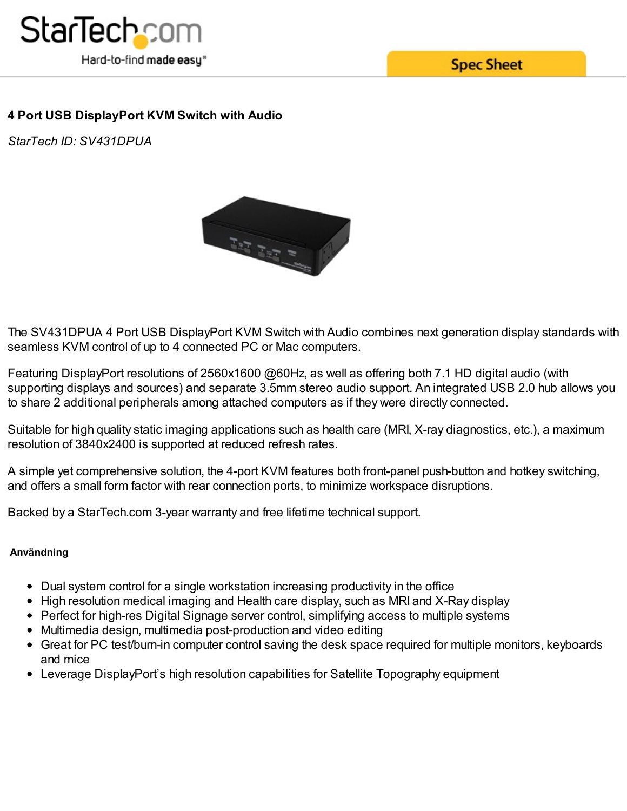

**Spec Sheet** 

## **4 Port USB DisplayPort KVM Switch with Audio**

*StarTech ID: SV431DPUA*



The SV431DPUA 4 Port USB DisplayPort KVM Switch with Audio combines next generation display standards with seamless KVM control of up to 4 connected PC or Mac computers.

Featuring DisplayPort resolutions of 2560x1600 @60Hz, as well as offering both 7.1 HD digital audio (with supporting displays and sources) and separate 3.5mm stereo audio support. An integrated USB 2.0 hub allows you to share 2 additional peripherals among attached computers as if they were directly connected.

Suitable for high quality static imaging applications such as health care (MRI, X-ray diagnostics, etc.), a maximum resolution of 3840x2400 is supported at reduced refresh rates.

A simple yet comprehensive solution, the 4-port KVM features both front-panel push-button and hotkey switching, and offers a small form factor with rear connection ports, to minimize workspace disruptions.

Backed by a StarTech.com 3-year warranty and free lifetime technical support.

## **Användning**

- Dual system control for a single workstation increasing productivity in the office
- High resolution medical imaging and Health care display, such as MRI and X-Ray display
- Perfect for high-res Digital Signage server control, simplifying access to multiple systems
- Multimedia design, multimedia post-production and video editing
- Great for PC test/burn-in computer control saving the desk space required for multiple monitors, keyboards and mice
- Leverage DisplayPort's high resolution capabilities for Satellite Topography equipment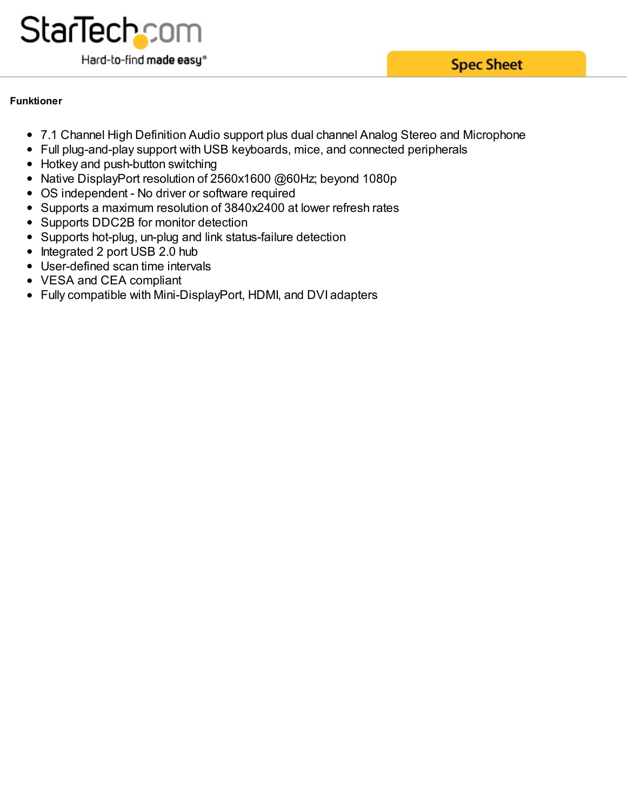

## **Funktioner**

- 7.1 Channel High Definition Audio support plus dual channel Analog Stereo and Microphone
- Full plug-and-play support with USB keyboards, mice, and connected peripherals
- Hotkey and push-button switching
- Native DisplayPort resolution of 2560x1600 @60Hz; beyond 1080p
- OS independent No driver or software required
- Supports a maximum resolution of 3840x2400 at lower refresh rates
- Supports DDC2B for monitor detection
- Supports hot-plug, un-plug and link status-failure detection
- Integrated 2 port USB 2.0 hub
- User-defined scan time intervals
- VESA and CEA compliant
- Fully compatible with Mini-DisplayPort, HDMI, and DVI adapters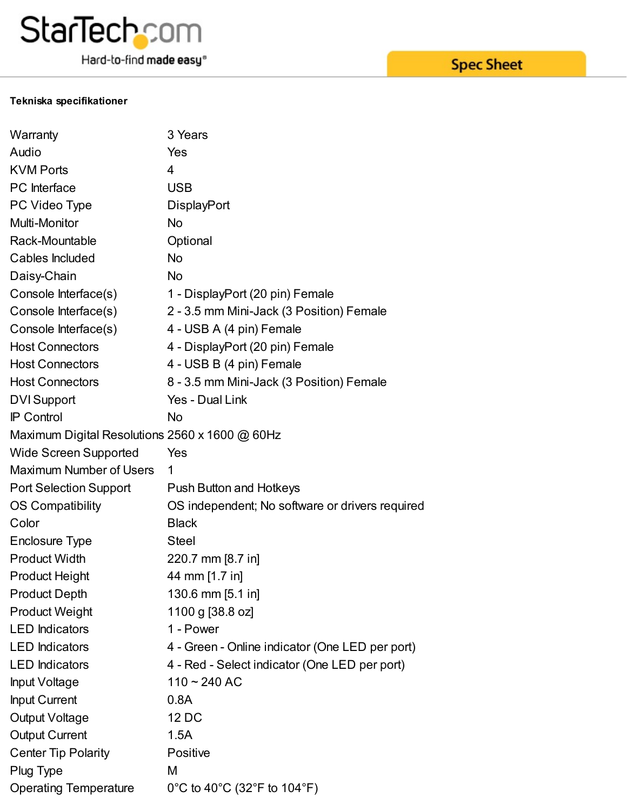

Hard-to-find made easy®

## **Tekniska specifikationer**

| Warranty                                       | 3 Years                                         |
|------------------------------------------------|-------------------------------------------------|
| Audio                                          | Yes                                             |
| <b>KVM Ports</b>                               | $\overline{4}$                                  |
| PC Interface                                   | <b>USB</b>                                      |
| PC Video Type                                  | <b>DisplayPort</b>                              |
| Multi-Monitor                                  | <b>No</b>                                       |
| Rack-Mountable                                 | Optional                                        |
| Cables Included                                | <b>No</b>                                       |
| Daisy-Chain                                    | <b>No</b>                                       |
| Console Interface(s)                           | 1 - DisplayPort (20 pin) Female                 |
| Console Interface(s)                           | 2 - 3.5 mm Mini-Jack (3 Position) Female        |
| Console Interface(s)                           | 4 - USB A (4 pin) Female                        |
| <b>Host Connectors</b>                         | 4 - DisplayPort (20 pin) Female                 |
| <b>Host Connectors</b>                         | 4 - USB B (4 pin) Female                        |
| <b>Host Connectors</b>                         | 8 - 3.5 mm Mini-Jack (3 Position) Female        |
| <b>DVI</b> Support                             | Yes - Dual Link                                 |
| <b>IP Control</b>                              | <b>No</b>                                       |
| Maximum Digital Resolutions 2560 x 1600 @ 60Hz |                                                 |
| <b>Wide Screen Supported</b>                   | Yes                                             |
| <b>Maximum Number of Users</b>                 | 1                                               |
| <b>Port Selection Support</b>                  | <b>Push Button and Hotkeys</b>                  |
| <b>OS Compatibility</b>                        | OS independent; No software or drivers required |
| Color                                          | <b>Black</b>                                    |
| <b>Enclosure Type</b>                          | <b>Steel</b>                                    |
| <b>Product Width</b>                           | 220.7 mm [8.7 in]                               |
| <b>Product Height</b>                          | 44 mm [1.7 in]                                  |
| <b>Product Depth</b>                           | 130.6 mm [5.1 in]                               |
| <b>Product Weight</b>                          | 1100 g [38.8 oz]                                |
| <b>LED</b> Indicators                          | 1 - Power                                       |
| <b>LED</b> Indicators                          | 4 - Green - Online indicator (One LED per port) |
| <b>LED</b> Indicators                          | 4 - Red - Select indicator (One LED per port)   |
| <b>Input Voltage</b>                           | $110 - 240$ AC                                  |
| <b>Input Current</b>                           | 0.8A                                            |
| <b>Output Voltage</b>                          | 12 DC                                           |
| <b>Output Current</b>                          | 1.5A                                            |
| <b>Center Tip Polarity</b>                     | Positive                                        |
| Plug Type                                      | M                                               |
| <b>Operating Temperature</b>                   | 0°C to 40°C (32°F to 104°F)                     |